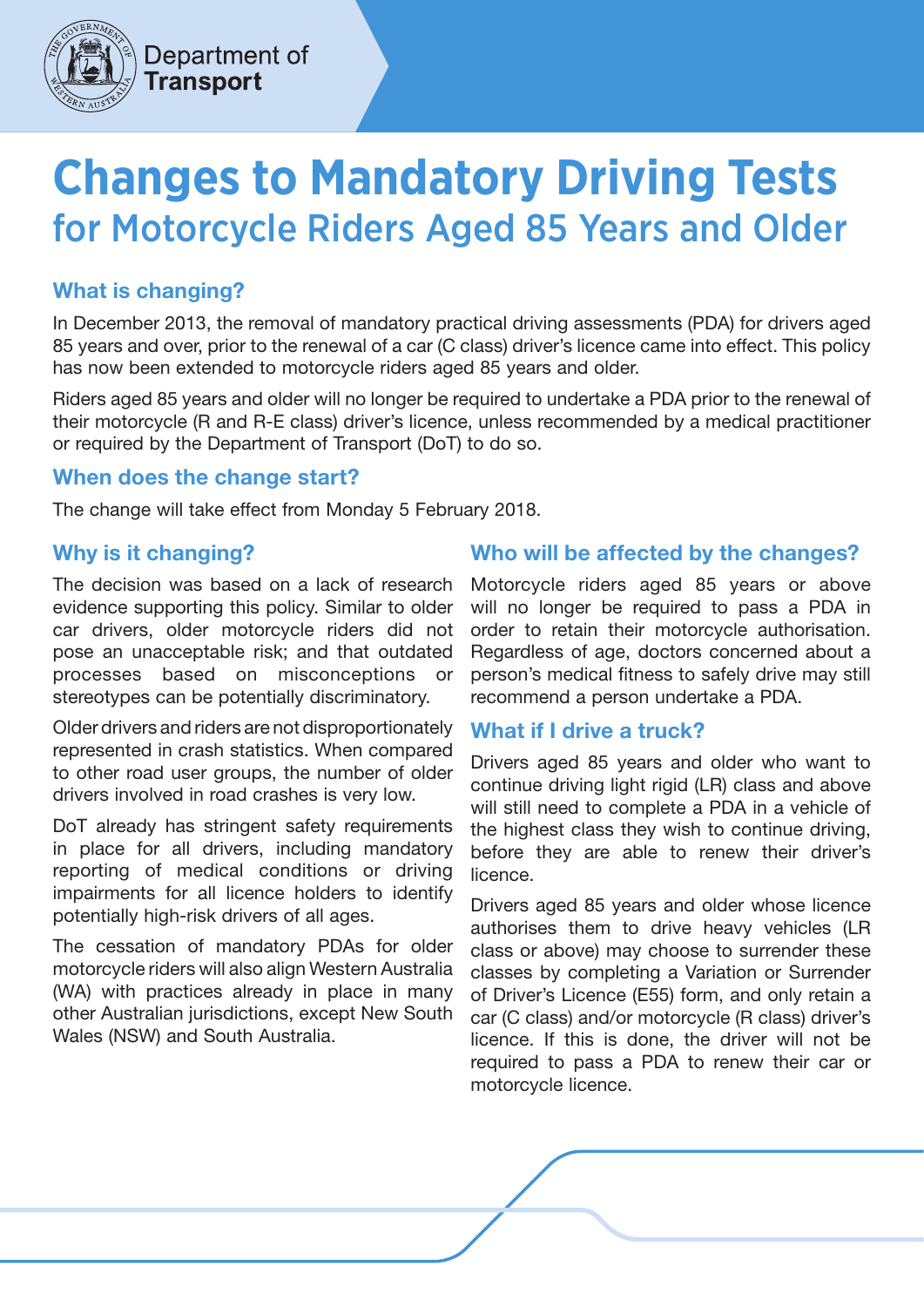

# **Changes to Mandatory Driving Tests**  for Motorcycle Riders Aged 85 Years and Older

## What is changing?

In December 2013, the removal of mandatory practical driving assessments (PDA) for drivers aged 85 years and over, prior to the renewal of a car (C class) driver's licence came into effect. This policy has now been extended to motorcycle riders aged 85 years and older.

Riders aged 85 years and older will no longer be required to undertake a PDA prior to the renewal of their motorcycle (R and R-E class) driver's licence, unless recommended by a medical practitioner or required by the Department of Transport (DoT) to do so.

#### When does the change start?

The change will take effect from Monday 5 February 2018.

## Why is it changing?

The decision was based on a lack of research evidence supporting this policy. Similar to older car drivers, older motorcycle riders did not pose an unacceptable risk; and that outdated processes based on misconceptions or stereotypes can be potentially discriminatory.

Older drivers and riders are not disproportionately represented in crash statistics. When compared to other road user groups, the number of older drivers involved in road crashes is very low.

DoT already has stringent safety requirements in place for all drivers, including mandatory reporting of medical conditions or driving impairments for all licence holders to identify potentially high-risk drivers of all ages.

The cessation of mandatory PDAs for older motorcycle riders will also align Western Australia (WA) with practices already in place in many other Australian jurisdictions, except New South Wales (NSW) and South Australia.

## Who will be affected by the changes?

Motorcycle riders aged 85 years or above will no longer be required to pass a PDA in order to retain their motorcycle authorisation. Regardless of age, doctors concerned about a person's medical fitness to safely drive may still recommend a person undertake a PDA.

#### What if I drive a truck?

Drivers aged 85 years and older who want to continue driving light rigid (LR) class and above will still need to complete a PDA in a vehicle of the highest class they wish to continue driving, before they are able to renew their driver's licence.

Drivers aged 85 years and older whose licence authorises them to drive heavy vehicles (LR class or above) may choose to surrender these classes by completing a Variation or Surrender of Driver's Licence (E55) form, and only retain a car (C class) and/or motorcycle (R class) driver's licence. If this is done, the driver will not be required to pass a PDA to renew their car or motorcycle licence.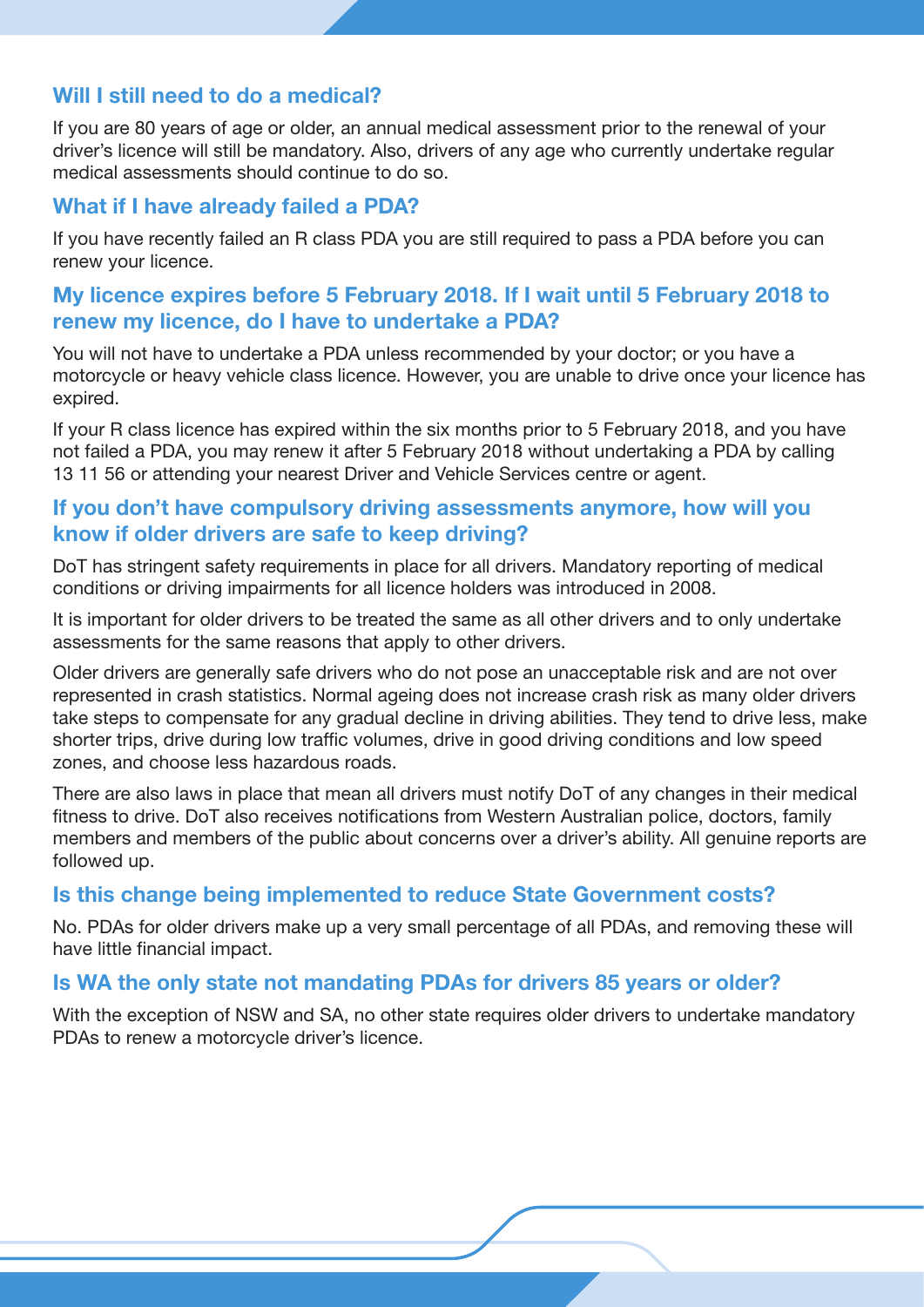## Will I still need to do a medical?

If you are 80 years of age or older, an annual medical assessment prior to the renewal of your driver's licence will still be mandatory. Also, drivers of any age who currently undertake regular medical assessments should continue to do so.

#### What if I have already failed a PDA?

If you have recently failed an R class PDA you are still required to pass a PDA before you can renew your licence.

### My licence expires before 5 February 2018. If I wait until 5 February 2018 to renew my licence, do I have to undertake a PDA?

You will not have to undertake a PDA unless recommended by your doctor; or you have a motorcycle or heavy vehicle class licence. However, you are unable to drive once your licence has expired.

If your R class licence has expired within the six months prior to 5 February 2018, and you have not failed a PDA, you may renew it after 5 February 2018 without undertaking a PDA by calling 13 11 56 or attending your nearest Driver and Vehicle Services centre or agent.

### If you don't have compulsory driving assessments anymore, how will you know if older drivers are safe to keep driving?

DoT has stringent safety requirements in place for all drivers. Mandatory reporting of medical conditions or driving impairments for all licence holders was introduced in 2008.

It is important for older drivers to be treated the same as all other drivers and to only undertake assessments for the same reasons that apply to other drivers.

Older drivers are generally safe drivers who do not pose an unacceptable risk and are not over represented in crash statistics. Normal ageing does not increase crash risk as many older drivers take steps to compensate for any gradual decline in driving abilities. They tend to drive less, make shorter trips, drive during low traffic volumes, drive in good driving conditions and low speed zones, and choose less hazardous roads.

There are also laws in place that mean all drivers must notify DoT of any changes in their medical fitness to drive. DoT also receives notifications from Western Australian police, doctors, family members and members of the public about concerns over a driver's ability. All genuine reports are followed up.

#### Is this change being implemented to reduce State Government costs?

No. PDAs for older drivers make up a very small percentage of all PDAs, and removing these will have little financial impact.

#### Is WA the only state not mandating PDAs for drivers 85 years or older?

With the exception of NSW and SA, no other state requires older drivers to undertake mandatory PDAs to renew a motorcycle driver's licence.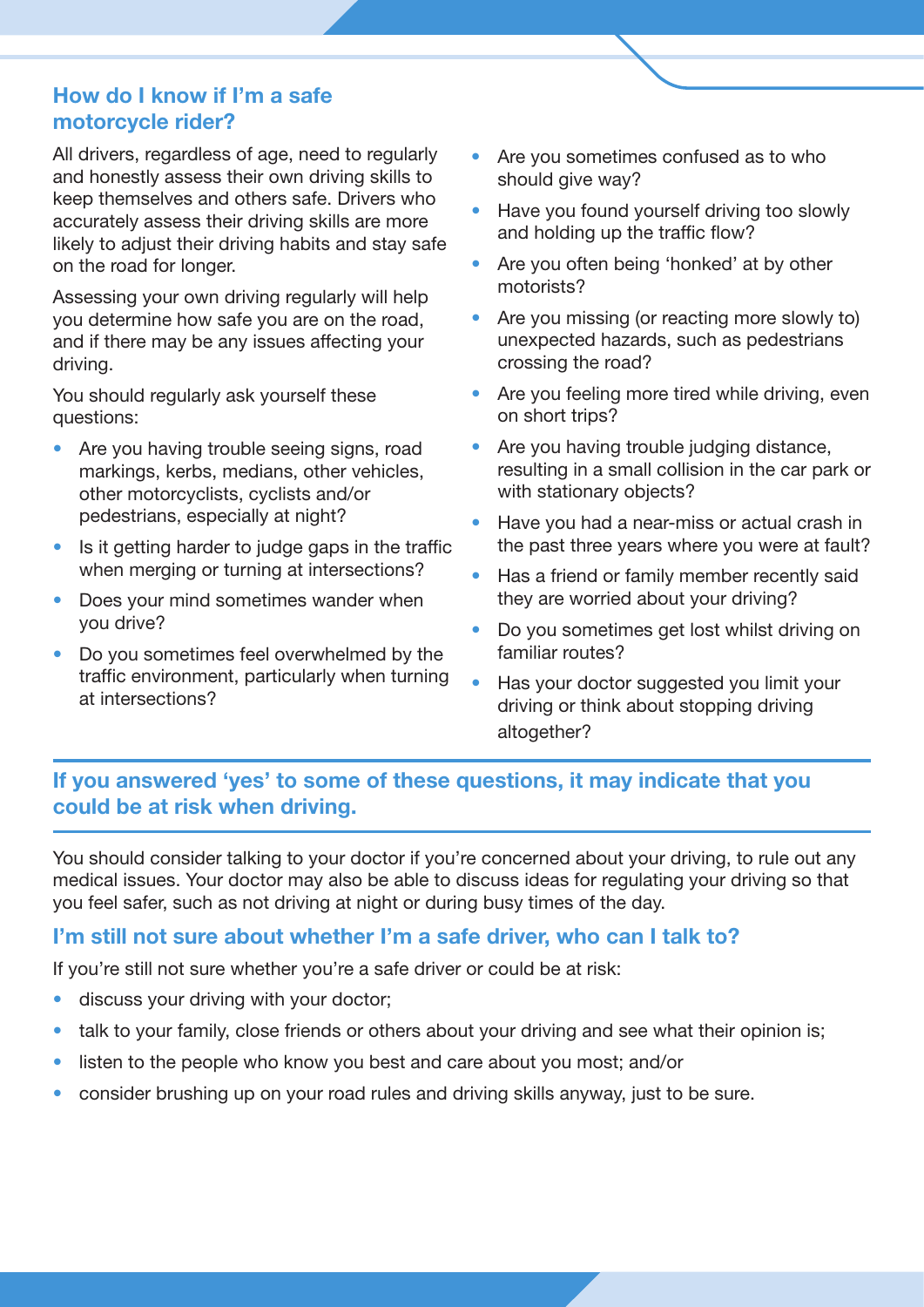## How do I know if I'm a safe motorcycle rider?

All drivers, regardless of age, need to regularly and honestly assess their own driving skills to keep themselves and others safe. Drivers who accurately assess their driving skills are more likely to adjust their driving habits and stay safe on the road for longer.

Assessing your own driving regularly will help you determine how safe you are on the road, and if there may be any issues affecting your driving.

You should regularly ask yourself these questions:

- Are you having trouble seeing signs, road markings, kerbs, medians, other vehicles, other motorcyclists, cyclists and/or pedestrians, especially at night?
- Is it getting harder to judge gaps in the traffic when merging or turning at intersections?
- Does your mind sometimes wander when you drive?
- Do you sometimes feel overwhelmed by the traffic environment, particularly when turning at intersections?
- Are you sometimes confused as to who should give way?
- Have you found yourself driving too slowly and holding up the traffic flow?
- Are you often being 'honked' at by other motorists?
- Are you missing (or reacting more slowly to) unexpected hazards, such as pedestrians crossing the road?
- Are you feeling more tired while driving, even on short trips?
- Are you having trouble judging distance, resulting in a small collision in the car park or with stationary objects?
- Have you had a near-miss or actual crash in the past three years where you were at fault?
- Has a friend or family member recently said they are worried about your driving?
- Do you sometimes get lost whilst driving on familiar routes?
- Has your doctor suggested you limit your driving or think about stopping driving altogether?

## If you answered 'yes' to some of these questions, it may indicate that you could be at risk when driving.

You should consider talking to your doctor if you're concerned about your driving, to rule out any medical issues. Your doctor may also be able to discuss ideas for regulating your driving so that you feel safer, such as not driving at night or during busy times of the day.

## I'm still not sure about whether I'm a safe driver, who can I talk to?

If you're still not sure whether you're a safe driver or could be at risk:

- discuss your driving with your doctor;
- talk to your family, close friends or others about your driving and see what their opinion is;
- listen to the people who know you best and care about you most; and/or
- consider brushing up on your road rules and driving skills anyway, just to be sure.